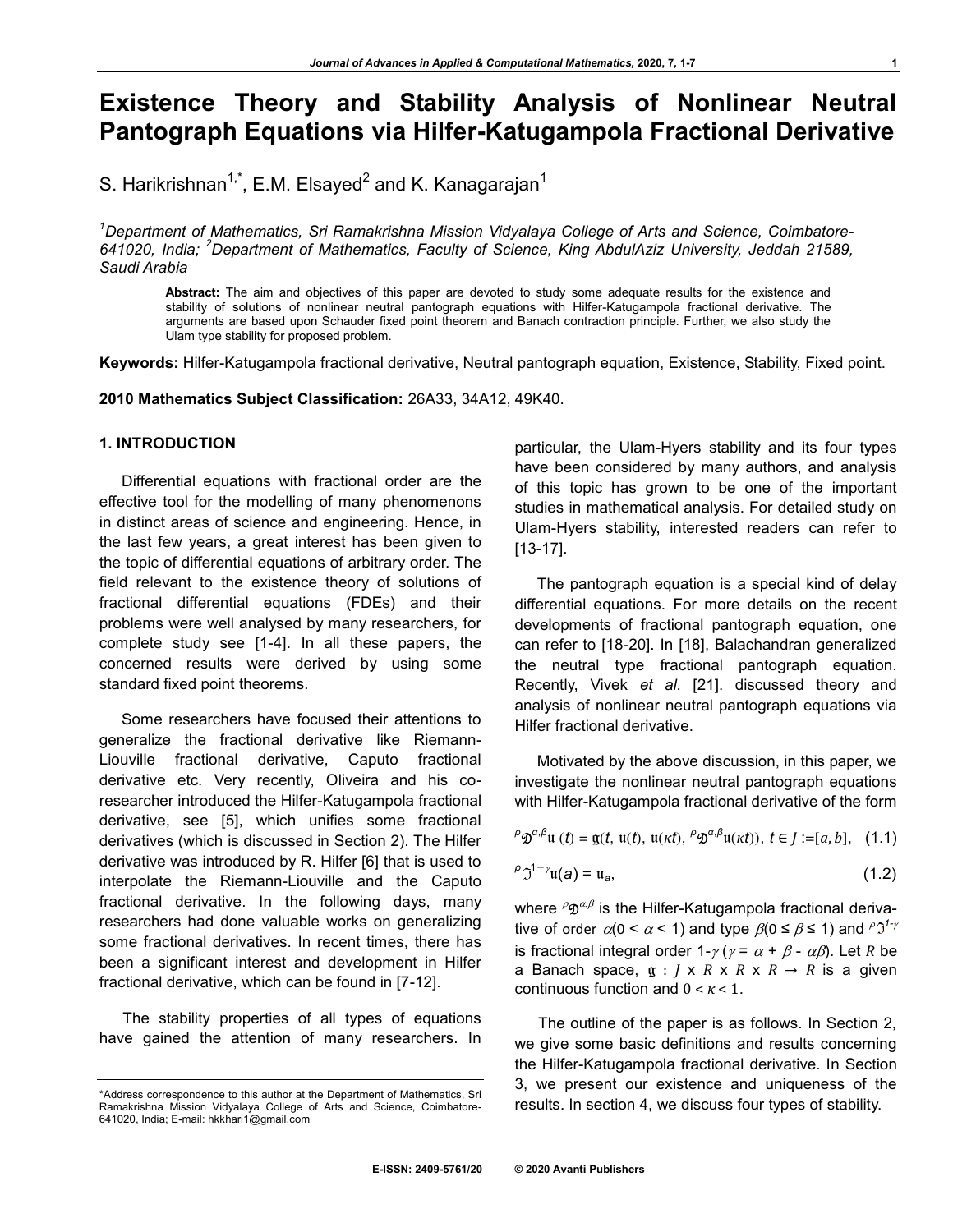# **Existence Theory and Stability Analysis of Nonlinear Neutral Pantograph Equations via Hilfer-Katugampola Fractional Derivative**

S. Harikrishnan $^{1, \star}$ , E.M. Elsayed $^2$  and K. Kanagarajan $^1$ 

*<sup>1</sup>Department of Mathematics, Sri Ramakrishna Mission Vidyalaya College of Arts and Science, Coimbatore-641020, India; <sup>2</sup>Department of Mathematics, Faculty of Science, King AbdulAziz University, Jeddah 21589, Saudi Arabia*

**Abstract:** The aim and objectives of this paper are devoted to study some adequate results for the existence and stability of solutions of nonlinear neutral pantograph equations with Hilfer-Katugampola fractional derivative. The arguments are based upon Schauder fixed point theorem and Banach contraction principle. Further, we also study the Ulam type stability for proposed problem.

**Keywords:** Hilfer-Katugampola fractional derivative, Neutral pantograph equation, Existence, Stability, Fixed point.

**2010 Mathematics Subject Classification:** 26A33, 34A12, 49K40.

#### **1. INTRODUCTION**

Differential equations with fractional order are the effective tool for the modelling of many phenomenons in distinct areas of science and engineering. Hence, in the last few years, a great interest has been given to the topic of differential equations of arbitrary order. The field relevant to the existence theory of solutions of fractional differential equations (FDEs) and their problems were well analysed by many researchers, for complete study see [1-4]. In all these papers, the concerned results were derived by using some standard fixed point theorems.

Some researchers have focused their attentions to generalize the fractional derivative like Riemann-Liouville fractional derivative, Caputo fractional derivative etc. Very recently, Oliveira and his coresearcher introduced the Hilfer-Katugampola fractional derivative, see [5], which unifies some fractional derivatives (which is discussed in Section 2). The Hilfer derivative was introduced by R. Hilfer [6] that is used to interpolate the Riemann-Liouville and the Caputo fractional derivative. In the following days, many researchers had done valuable works on generalizing some fractional derivatives. In recent times, there has been a significant interest and development in Hilfer fractional derivative, which can be found in [7-12].

The stability properties of all types of equations have gained the attention of many researchers. In particular, the Ulam-Hyers stability and its four types have been considered by many authors, and analysis of this topic has grown to be one of the important studies in mathematical analysis. For detailed study on Ulam-Hyers stability, interested readers can refer to [13-17].

The pantograph equation is a special kind of delay differential equations. For more details on the recent developments of fractional pantograph equation, one can refer to [18-20]. In [18], Balachandran generalized the neutral type fractional pantograph equation. Recently, Vivek *et al*. [21]. discussed theory and analysis of nonlinear neutral pantograph equations via Hilfer fractional derivative.

Motivated by the above discussion, in this paper, we investigate the nonlinear neutral pantograph equations with Hilfer-Katugampola fractional derivative of the form

$$
\rho \mathfrak{D}^{\alpha,\beta} \mathfrak{u}(t) = \mathfrak{g}(t, \mathfrak{u}(t), \mathfrak{u}(\kappa t), \rho \mathfrak{D}^{\alpha,\beta} \mathfrak{u}(\kappa t)), t \in J := [a, b], \quad (1.1)
$$

$$
\rho \mathfrak{I}^{1-\gamma} \mathfrak{u}(a) = \mathfrak{u}_a,\tag{1.2}
$$

where  ${}^{\rho}\mathfrak{D}^{\alpha,\beta}$  is the Hilfer-Katugampola fractional derivative of order  $\alpha(0 < \alpha < 1)$  and type  $\beta(0 \le \beta \le 1)$  and  $\beta \mathfrak{I}^{1-\gamma}$ is fractional integral order  $1-\gamma$  ( $\gamma = \alpha + \beta - \alpha\beta$ ). Let *R* be a Banach space,  $g : J \times R \times R \times R \rightarrow R$  is a given continuous function and 0 < *κ* < 1.

The outline of the paper is as follows. In Section 2, we give some basic definitions and results concerning the Hilfer-Katugampola fractional derivative. In Section 3, we present our existence and uniqueness of the results. In section 4, we discuss four types of stability.

<sup>\*</sup>Address correspondence to this author at the Department of Mathematics, Sri Ramakrishna Mission Vidyalaya College of Arts and Science, Coimbatore-641020, India; E-mail: hkkhari1@gmail.com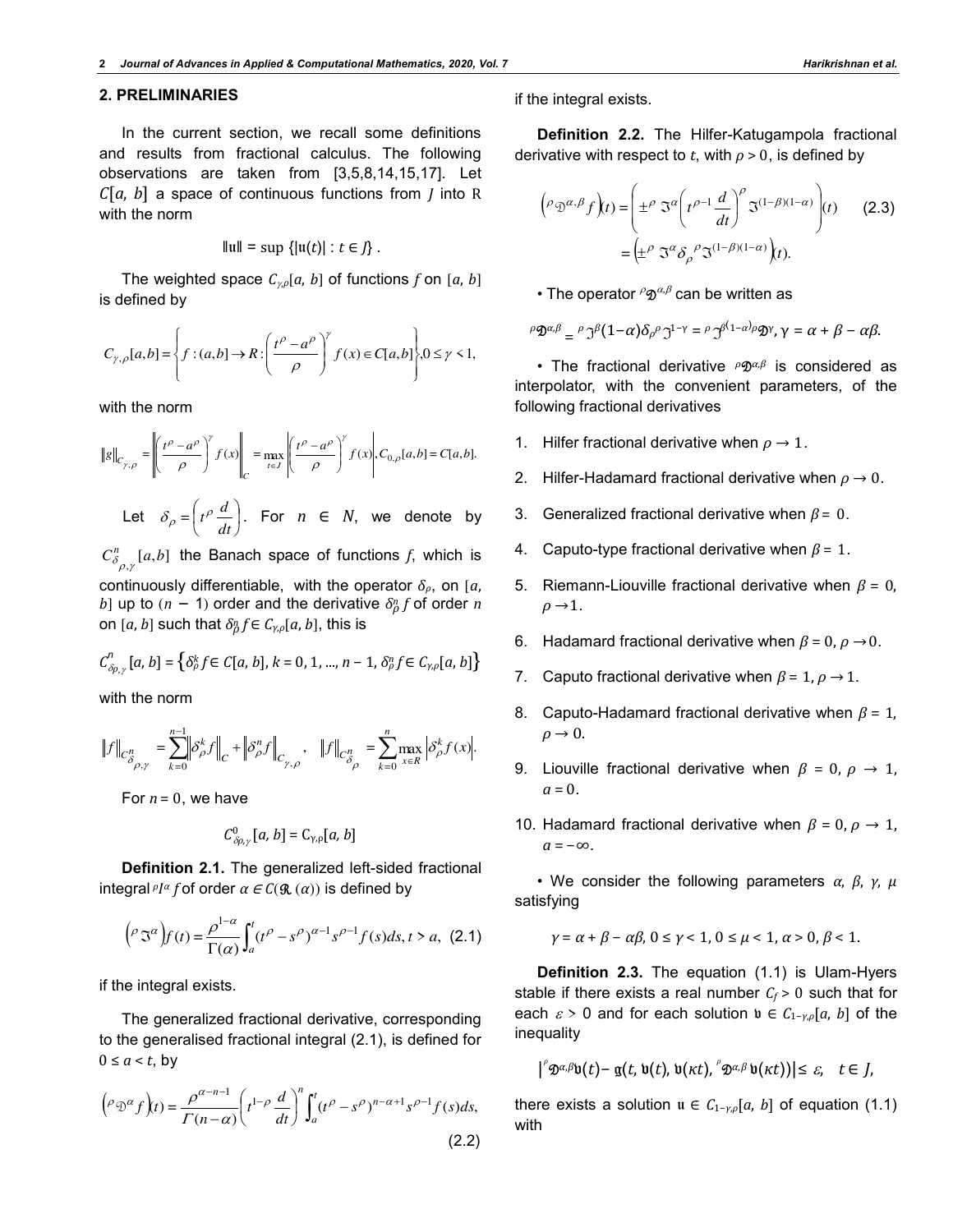# **2. PRELIMINARIES**

In the current section, we recall some definitions and results from fractional calculus. The following observations are taken from [3,5,8,14,15,17]. Let *C*[*a*, *b*] a space of continuous functions from *J* into R with the norm

$$
\|\mathfrak{u}\|=\sup\left\{|\mathfrak{u}(t)|:t\in J\right\}.
$$

The weighted space  $C_{\gamma,\rho}[a, b]$  of functions *f* on [*a*, *b*] is defined by

$$
C_{\gamma,\rho}[a,b] = \left\{ f : (a,b] \to R : \left( \frac{t^{\rho} - a^{\rho}}{\rho} \right)^{\gamma} f(x) \in C[a,b] \right\}, 0 \le \gamma < 1,
$$

with the norm

$$
\|g\|_{C_{\gamma,\rho}} = \left\| \left(\frac{t^{\rho} - a^{\rho}}{\rho}\right)^{\gamma} f(x) \right\|_{C} = \max_{t \in J} \left| \left(\frac{t^{\rho} - a^{\rho}}{\rho}\right)^{\gamma} f(x) \right|, C_{0,\rho}[a,b] = C[a,b].
$$

Let  $\delta_{\rho} = |t^{\rho} - t^{\rho}$ J  $\left(t^{\rho}\frac{d}{dt}\right)$  $\overline{\phantom{0}}$ ſ *dt*  $\delta_{\rho} = \left( t^{\rho} \frac{d}{dt} \right)$ . For  $n \in N$ , we denote by

 $C^n_{\delta_{\rho,\gamma}}[a,b]$  $\int\limits_{\beta_{\rho,\gamma}}^{\pi}[a,b]$  the Banach space of functions  $f$ , which is continuously differentiable, with the operator *δρ*, on [*a*, *b*] up to (*n* − 1) order and the derivative  $δρ$  *f* of order *n* on  $[a,b]$  such that  $\delta_{\rho}^n f \in \mathcal{C}_{\gamma,\rho}[a,b],$  this is

$$
C_{\delta\rho,\gamma}^n\left[a,\,b\right]=\left\{\delta_\rho^k f\!\in C[a,\,b],\,k=0,\,1,...,\,n-1,\,\delta_\rho^n f\!\in C_{\gamma,\rho}[a,\,b]\right\}
$$

with the norm

$$
\left\|f\right\|_{C_{\delta_{\rho,\gamma}}^n}=\sum_{k=0}^{n-1}\left\|\delta^k_{\rho}f\right\|_{C}+\left\|\delta^n_{\rho}f\right\|_{C_{\gamma,\rho}},\quad \left\|f\right\|_{C_{\delta_{\rho}}^n}=\sum_{k=0}^n\max_{x\in R}\left|\delta^k_{\rho}f(x)\right|.
$$

For  $n = 0$ , we have

$$
C^0_{\delta\rho,\gamma}[a,b]=\mathsf{C}_{\gamma,\rho}[a,b]
$$

**Definition 2.1.** The generalized left-sided fractional *integral*  $PI^{\alpha}$  *f* of order  $\alpha \in C(\mathcal{R}(\alpha))$  is defined by

$$
\left(\rho \Im^{\alpha}\right) f(t) = \frac{\rho^{1-\alpha}}{\Gamma(\alpha)} \int_a^t (t^{\rho} - s^{\rho})^{\alpha-1} s^{\rho-1} f(s) ds, t > a, (2.1)
$$

if the integral exists.

The generalized fractional derivative, corresponding to the generalised fractional integral (2.1), is defined for  $0 \le a \le t$ , by

$$
\left(\rho \mathfrak{D}^{\alpha} f\right)(t) = \frac{\rho^{\alpha - n - 1}}{\Gamma(n - \alpha)} \left(t^{1 - \rho} \frac{d}{dt}\right)^n \int_a^t (t^{\rho} - s^{\rho})^{n - \alpha + 1} s^{\rho - 1} f(s) ds,
$$
\n(2.2)

if the integral exists.

**Definition 2.2.** The Hilfer-Katugampola fractional derivative with respect to *t*, with  $\rho > 0$ , is defined by

$$
\left(\rho \mathfrak{D}^{\alpha,\beta} f\right)(t) = \left(\pm^{\rho} \mathfrak{I}^{\alpha} \left(t^{\rho-1} \frac{d}{dt}\right)^{\rho} \mathfrak{I}^{(1-\beta)(1-\alpha)}\right)(t) \qquad (2.3)
$$

$$
= \left(\pm^{\rho} \mathfrak{I}^{\alpha} \delta_{\rho}^{\beta} \mathfrak{I}^{(1-\beta)(1-\alpha)}\right)(t).
$$

 $\bullet$  The operator  $^{\rho}\mathfrak{D}^{\alpha,\beta}$  can be written as

$$
\rho \mathfrak{D}^{\alpha,\beta} = \rho \mathfrak{I}^{\beta} (1-\alpha) \delta_{\rho} \rho \mathfrak{I}^{1-\gamma} = \rho \mathfrak{I}^{\beta(1-\alpha)} \rho \mathfrak{D}^{\gamma}, \gamma = \alpha + \beta - \alpha \beta.
$$

• The fractional derivative *ρ* Ωαβ is considered as interpolator, with the convenient parameters, of the following fractional derivatives

- 1. Hilfer fractional derivative when  $\rho \rightarrow 1$ .
- 2. Hilfer-Hadamard fractional derivative when  $\rho \rightarrow 0$ .
- 3. Generalized fractional derivative when *β* = 0.
- 4. Caputo-type fractional derivative when *β* = 1.
- 5. Riemann-Liouville fractional derivative when *β* = 0,  $\rho \rightarrow 1$ .
- 6. Hadamard fractional derivative when  $\beta = 0$ ,  $\rho \rightarrow 0$ .
- 7. Caputo fractional derivative when  $\beta = 1, \rho \rightarrow 1$ .
- 8. Caputo-Hadamard fractional derivative when *β* = 1,  $\rho \rightarrow 0$ .
- 9. Liouville fractional derivative when *β* = 0, *ρ* → 1,  $a = 0$ .
- 10. Hadamard fractional derivative when *β* = 0, *ρ* → 1,  $a = -\infty$ .

• We consider the following parameters *α*, *β*, *γ*, *µ* satisfying

$$
\gamma = \alpha + \beta - \alpha \beta, \ 0 \le \gamma < 1, \ 0 \le \mu < 1, \ \alpha > 0, \ \beta < 1.
$$

**Definition 2.3.** The equation (1.1) is Ulam-Hyers stable if there exists a real number  $C_f$  > 0 such that for each  $\varepsilon > 0$  and for each solution  $\mathfrak{v} \in C_{1-\gamma,\rho}[a, b]$  of the inequality

$$
\big| \big|^\rho \mathfrak{D}^{\alpha,\beta} \mathfrak{v}(t) - \mathfrak{g}(t,\mathfrak{v}(t),\mathfrak{v}(\kappa t),\big|^\rho \mathfrak{D}^{\alpha,\beta} \mathfrak{v}(\kappa t) \big) \big| \leq \varepsilon, \quad t \in J,
$$

there exists a solution  $u \in C_{1-\gamma,\rho}[a, b]$  of equation (1.1) with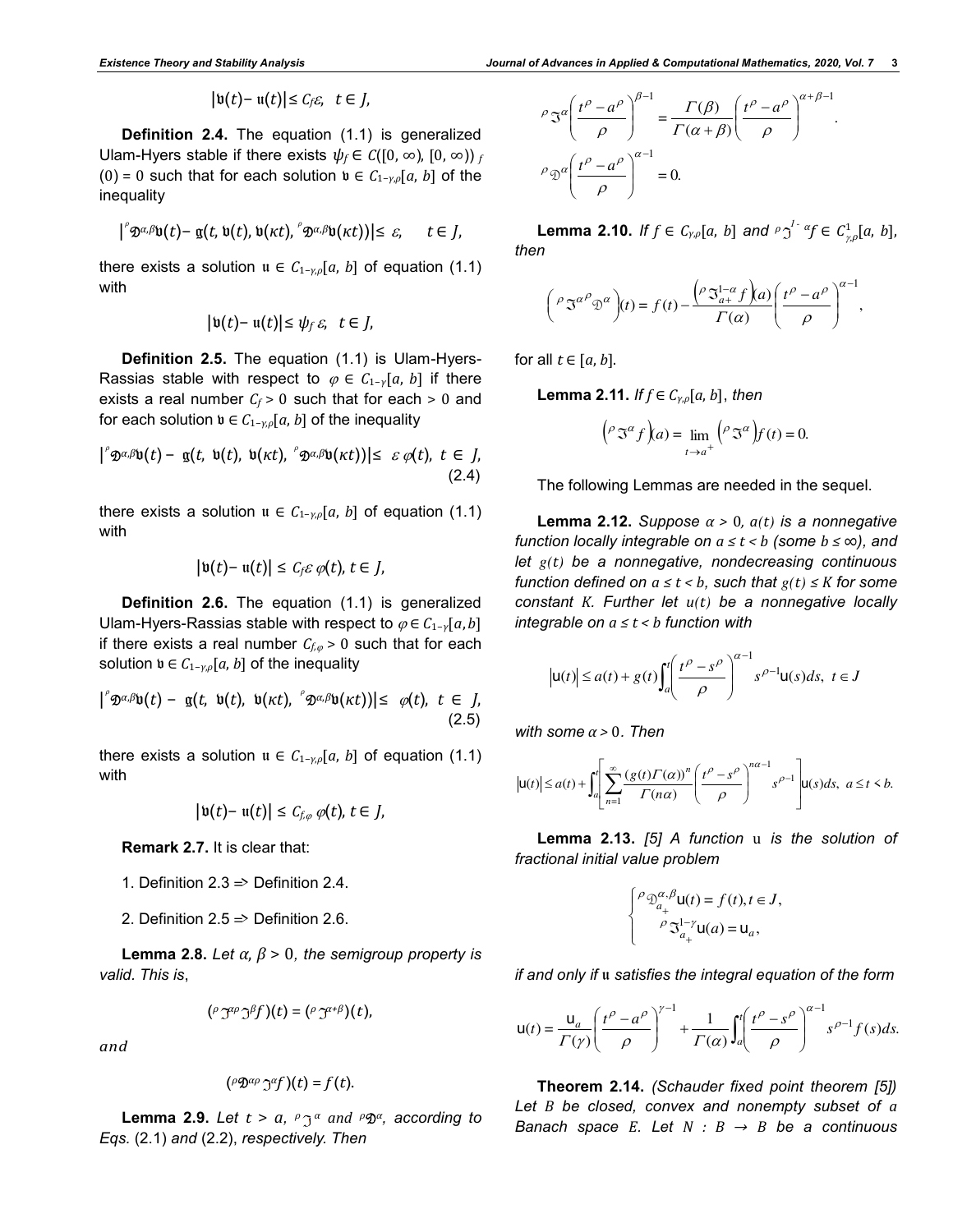$$
|\mathfrak{v}(t)-\mathfrak{u}(t)|\leq C_f\varepsilon,\ \ t\in J,
$$

**Definition 2.4.** The equation (1.1) is generalized Ulam-Hyers stable if there exists  $\psi_f \in C([0, \infty), [0, \infty))_f$ (0) = 0 such that for each solution  $\mathfrak{v}$  ∈  $C_{1-\gamma,\rho}[a, b]$  of the inequality

$$
|f^{\circ} \mathfrak{D}^{\alpha,\beta} \mathfrak{v}(t) - \mathfrak{g}(t,\mathfrak{v}(t),\mathfrak{v}(\kappa t),\mathfrak{D}^{\alpha,\beta} \mathfrak{v}(\kappa t))| \leq \varepsilon, \quad t \in J,
$$

there exists a solution  $u \in C_{1-\gamma,\rho}[a, b]$  of equation (1.1) with

$$
|\mathfrak{v}(t)-\mathfrak{u}(t)|\leq \psi_f\,\varepsilon,\ t\in J,
$$

**Definition 2.5.** The equation (1.1) is Ulam-Hyers-Rassias stable with respect to  $\varphi \in C_{1-\gamma}[a, b]$  if there exists a real number  $C_f$  > 0 such that for each > 0 and for each solution  $\mathfrak{v} \in C_{1-\gamma,\rho}[a,b]$  of the inequality

$$
|^\circ \mathfrak{D}^{\alpha,\beta} \mathfrak{v}(t) - \mathfrak{g}(t, \mathfrak{v}(t), \mathfrak{v}(\kappa t), \ ^\circ \mathfrak{D}^{\alpha,\beta} \mathfrak{v}(\kappa t))| \leq \varepsilon \varphi(t), \ t \in J, \tag{2.4}
$$

there exists a solution  $u \in C_{1-\gamma,\rho}[a, b]$  of equation (1.1) with

$$
|\mathfrak{v}(t)-\mathfrak{u}(t)|\leq C_f\varepsilon\,\varphi(t),\,t\in J,
$$

**Definition 2.6.** The equation (1.1) is generalized Ulam-Hyers-Rassias stable with respect to  $\varphi \in C_{1-\gamma}[a,b]$ if there exists a real number  $C_{f,\varphi} > 0$  such that for each solution  $\mathfrak{v} \in C_{1-\gamma,\rho}[a,b]$  of the inequality

$$
|^\circ \mathfrak{D}^{\alpha,\beta} \mathfrak{v}(t) - \mathfrak{g}(t, \mathfrak{v}(t), \mathfrak{v}(\kappa t), \ ^\circ \mathfrak{D}^{\alpha,\beta} \mathfrak{v}(\kappa t))| \leq \ \varphi(t), \ t \in J, \tag{2.5}
$$

there exists a solution  $u \in C_{1-\gamma,\rho}[a, b]$  of equation (1.1) with

$$
|\mathfrak{v}(t)-\mathfrak{u}(t)|\leq C_{f,\varphi}\,\varphi(t),\,t\in J,
$$

**Remark 2.7.** It is clear that:

- 1. Definition 2.3  $\Rightarrow$  Definition 2.4.
- 2. Definition 2.5  $\Rightarrow$  Definition 2.6.

**Lemma 2.8.** *Let*  $\alpha$ *,*  $\beta$  *> 0, the semigroup property is valid. This is*,

$$
(\rho \mathfrak{I}^{\alpha\rho} \mathfrak{I}^{\beta} f)(t) = (\rho \mathfrak{I}^{\alpha+\beta})(t),
$$

*and*

$$
({}^{\rho}\mathfrak{D}^{\alpha\rho}\mathfrak{I}^{\alpha}f)(t)=f(t).
$$

**Lemma 2.9.** *Let*  $t > a$ ,  $P \supseteq a$  *and*  $P \mathfrak{D}^{\alpha}$ , according to *Eqs.* (2.1) *and* (2.2), *respectively. Then*

$$
\rho \Im^{\alpha} \left( \frac{t^{\rho} - a^{\rho}}{\rho} \right)^{\beta - 1} = \frac{\Gamma(\beta)}{\Gamma(\alpha + \beta)} \left( \frac{t^{\rho} - a^{\rho}}{\rho} \right)^{\alpha + \beta - 1}.
$$

$$
\rho \Im^{\alpha} \left( \frac{t^{\rho} - a^{\rho}}{\rho} \right)^{\alpha - 1} = 0.
$$

**Lemma 2.10.** *If*  $f \in C_{\gamma,\rho}[a, b]$  and  $\rho \gamma^{1-\alpha} f \in C_{\gamma,\rho}^1[a, b]$ , *then*

$$
\left(\rho \mathfrak{S}^{\alpha}{}^{\beta} \mathfrak{D}^{\alpha}\right)(t) = f(t) - \frac{\left(\rho \mathfrak{S}_{a+}^{1-\alpha} f\right)(a)}{\Gamma(\alpha)} \left(\frac{t^{\beta} - a^{\beta}}{\rho}\right)^{\alpha-1},
$$

for all  $t \in [a, b]$ .

**Lemma 2.11.** *If*  $f \in C_{\gamma,\rho}[a, b]$ , *then* 

$$
\left(\rho \Im^{\alpha} f\right)(a) = \lim_{t \to a^{+}} \left(\rho \Im^{\alpha}\right) f(t) = 0.
$$

The following Lemmas are needed in the sequel.

**Lemma 2.12.** *Suppose*  $\alpha > 0$ ,  $a(t)$  *is a nonnegative function locally integrable on*  $a \le t < b$  (some  $b \le \infty$ ), and *let g(t) be a nonnegative, nondecreasing continuous function defined on*  $a \le t < b$ *, such that*  $g(t) \le K$  *for some constant K. Further let u(t) be a nonnegative locally integrable on a ≤ t < b function with*

$$
\left|\mathbf{u}(t)\right| \le a(t) + g(t)\int_a^t \left(\frac{t^\rho - s^\rho}{\rho}\right)^{\alpha-1} s^{\rho-1}\mathbf{u}(s)ds, \ t \in J
$$

*with some α >* 0*. Then* 

$$
\left| \mathsf{u}(t) \right| \le a(t) + \int_{a}^{t} \left[ \sum_{n=1}^{\infty} \frac{\left( g(t) \Gamma(\alpha) \right)^{n}}{\Gamma(n\alpha)} \left( \frac{t^{\rho} - s^{\rho}}{\rho} \right)^{n\alpha - 1} s^{\rho - 1} \right] \mathsf{u}(s) ds, \ a \le t < b.
$$

**Lemma 2.13.** *[5] A function* u *is the solution of fractional initial value problem*

$$
\begin{cases} \rho \mathfrak{D}_{a_+}^{\alpha,\beta} \mathsf{u}(t) = f(t), t \in J, \\ \rho \mathfrak{D}_{a_+}^{1-\gamma} \mathsf{u}(a) = \mathsf{u}_a, \end{cases}
$$

*if and only if* u *satisfies the integral equation of the form* 

$$
\mathsf{u}(t) = \frac{\mathsf{u}_a}{\Gamma(\gamma)} \left( \frac{t^{\rho} - a^{\rho}}{\rho} \right)^{\gamma - 1} + \frac{1}{\Gamma(\alpha)} \int_a^t \left( \frac{t^{\rho} - s^{\rho}}{\rho} \right)^{\alpha - 1} s^{\rho - 1} f(s) ds.
$$

**Theorem 2.14.** *(Schauder fixed point theorem [5]) Let B be closed, convex and nonempty subset of a Banach space E. Let*  $N : B \rightarrow B$  *be a continuous*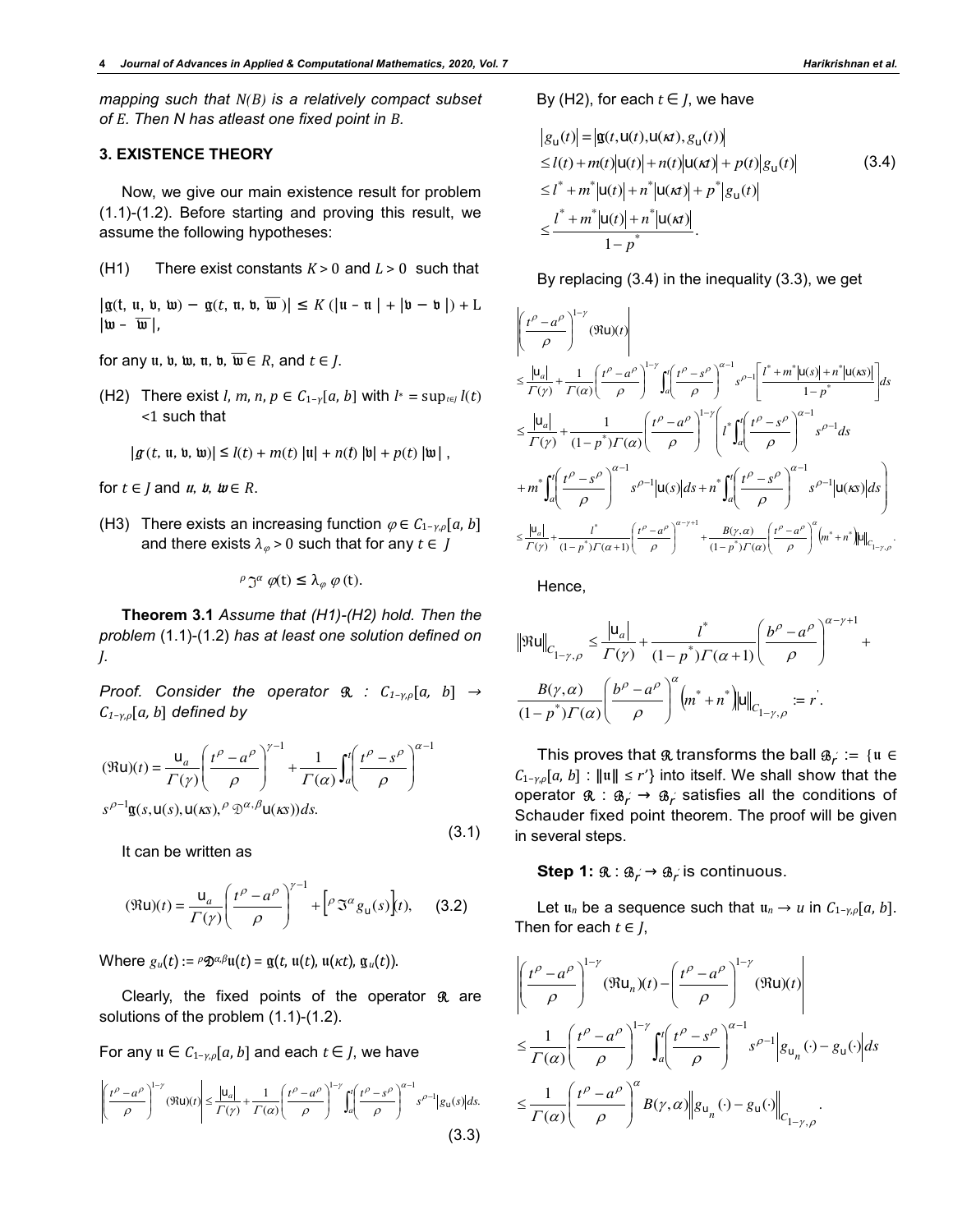*mapping such that N(B) is a relatively compact subset of E. Then N has atleast one fixed point in B.*

# **3. EXISTENCE THEORY**

Now, we give our main existence result for problem (1.1)-(1.2). Before starting and proving this result, we assume the following hypotheses:

(H1) There exist constants *K* > 0 and *L* > 0 such that

 $|\mathfrak{g}(\mathfrak{t}, \mathfrak{u}, \mathfrak{w}, \mathfrak{w}) - \mathfrak{g}(\mathfrak{t}, \mathfrak{u}, \mathfrak{w}, \overline{\mathfrak{w}})| \leq K (|\mathfrak{u} - \mathfrak{u}| + |\mathfrak{v} - \mathfrak{b}|) + L$  $|\overline{w} - \overline{w}|,$ 

for any  $u$ ,  $u$ ,  $w$ ,  $u$ ,  $w$ ,  $\overline{w} \in R$ , and  $t \in J$ .

(H2) There exist *l*, *m*, *n*,  $p \in C_{1-\gamma}[a, b]$  with  $l^* = \sup_{t \in I} l(t)$  $<$ 1 such that

$$
|g(t, u, v, w)| \leq l(t) + m(t) |u| + n(t) |v| + p(t) |w|,
$$

for  $t \in J$  and  $u, u, w \in R$ .

(H3) There exists an increasing function  $\varphi \in C_{1-\gamma,\rho}[a, b]$ and there exists  $\lambda_{\varnothing}$  > 0 such that for any  $t \in J$ 

$$
\rho \mathfrak{I}^{\alpha} \varphi(t) \leq \lambda_{\varphi} \varphi(t).
$$

**Theorem 3.1** *Assume that (H1)-(H2) hold. Then the problem* (1.1)-(1.2) *has at least one solution defined on J.* 

*Proof. Consider the operator* R *: C1−γ,ρ*[*a, b*] *→ C1−γ,ρ*[*a, b*] *defined by*

$$
(\Re u)(t) = \frac{u_a}{\Gamma(\gamma)} \left(\frac{t^{\rho} - a^{\rho}}{\rho}\right)^{\gamma - 1} + \frac{1}{\Gamma(\alpha)} \int_a^t \left(\frac{t^{\rho} - s^{\rho}}{\rho}\right)^{\alpha - 1}
$$

$$
s^{\rho - 1} \mathbf{g}(s, u(s), u(\kappa s), \rho \otimes \alpha, \beta u(\kappa s)) ds.
$$

It can be written as

$$
(\Re u)(t) = \frac{u_a}{\Gamma(\gamma)} \left(\frac{t^{\rho} - a^{\rho}}{\rho}\right)^{\gamma - 1} + \left[\rho \Im^{\alpha} g_u(s)\right](t), \quad (3.2)
$$

 $(3.1)$ 

Where  $g_u(t) := \rho \mathfrak{D}^{\alpha,\beta}u(t) = \mathfrak{g}(t, u(t), u(\kappa t), \mathfrak{g}_u(t)).$ 

Clearly, the fixed points of the operator  $\Re$  are solutions of the problem (1.1)-(1.2).

For any  $u \in C_{1-\gamma,\rho}[a,b]$  and each  $t \in J$ , we have

$$
\left| \left( \frac{t^{\rho} - a^{\rho}}{\rho} \right)^{1-\gamma} (\Re u)(t) \right| \le \frac{|u_a|}{\Gamma(\gamma)} + \frac{1}{\Gamma(\alpha)} \left( \frac{t^{\rho} - a^{\rho}}{\rho} \right)^{1-\gamma} \int_a^t \left( \frac{t^{\rho} - s^{\rho}}{\rho} \right)^{\alpha-1} s^{\rho-1} |g_u(s)| ds.
$$
\n(3.3)

By (H2), for each  $t \in J$ , we have

$$
|g_{u}(t)| = |g(t, u(t), u(\kappa t), g_{u}(t))|
$$
  
\n
$$
\leq l(t) + m(t)|u(t)| + n(t)|u(\kappa t)| + p(t)|g_{u}(t)|
$$
(3.4)  
\n
$$
\leq l^{*} + m^{*}|u(t)| + n^{*}|u(\kappa t)| + p^{*}|g_{u}(t)|
$$
  
\n
$$
\leq \frac{l^{*} + m^{*}|u(t)| + n^{*}|u(\kappa t)|}{1 - p^{*}}.
$$

By replacing (3.4) in the inequality (3.3), we get

$$
\begin{split}\n&\left|\left(\frac{t^{\rho}-a^{\rho}}{\rho}\right)^{1-\gamma}\left(\Re\mathbf{u}\right)(t)\right| \\
&\leq \frac{|\mathbf{u}_{a}|}{\Gamma(\gamma)}+\frac{1}{\Gamma(\alpha)}\left(\frac{t^{\rho}-a^{\rho}}{\rho}\right)^{1-\gamma}\int_{a}^{t}\left(\frac{t^{\rho}-s^{\rho}}{\rho}\right)^{\alpha-1}s^{\rho-1}\left[\frac{t^{*}+m^{*}|\mathbf{u}(s)|+n^{*}|\mathbf{u}(s)|}{1-p^{*}}\right]ds \\
&\leq \frac{|\mathbf{u}_{a}|}{\Gamma(\gamma)}+\frac{1}{(1-p^{*})\Gamma(\alpha)}\left(\frac{t^{\rho}-a^{\rho}}{\rho}\right)^{1-\gamma}\left(t^{*}\int_{a}^{t}\left(\frac{t^{\rho}-s^{\rho}}{\rho}\right)^{\alpha-1}s^{\rho-1}ds \\
&+m^{*}\int_{a}^{t}\left(\frac{t^{\rho}-s^{\rho}}{\rho}\right)^{\alpha-1}s^{\rho-1}|\mathbf{u}(s)|ds+n^{*}\int_{a}^{t}\left(\frac{t^{\rho}-s^{\rho}}{\rho}\right)^{\alpha-1}s^{\rho-1}|\mathbf{u}(s)|ds\right) \\
&\leq \frac{|\mathbf{u}_{a}|}{\Gamma(\gamma)}+\frac{t^{*}}{(1-p^{*})\Gamma(\alpha+1)}\left(\frac{t^{\rho}-a^{\rho}}{\rho}\right)^{\alpha-\gamma+1}+\frac{B(\gamma,\alpha)}{(1-p^{*})\Gamma(\alpha)}\left(\frac{t^{\rho}-a^{\rho}}{\rho}\right)^{\alpha}\left(m^{*}+n^{*}\right)\|\mathbf{u}\|_{C_{1-\gamma,\rho}}.\n\end{split}
$$

Hence,

$$
\|\mathfrak{R} \mathsf{u}\|_{C_{1-\gamma,\rho}} \leq \frac{|\mathsf{u}_a|}{\Gamma(\gamma)} + \frac{l^*}{(1-p^*)\Gamma(\alpha+1)} \left(\frac{b^\rho - a^\rho}{\rho}\right)^{\alpha-\gamma+1} + \frac{B(\gamma,\alpha)}{(1-p^*)\Gamma(\alpha)} \left(\frac{b^\rho - a^\rho}{\rho}\right)^\alpha \left(m^* + n^*\right) \|\mathsf{u}\|_{C_{1-\gamma,\rho}} := r^*.
$$

This proves that  $\Re$  transforms the ball  $\mathcal{B}_f := \{ \mathfrak{u} \in$ *C*1−*γ*,*<sup>ρ</sup>*[*a*, *b*] : ǁuǁ ≤ *r'*} into itself. We shall show that the operator  $\mathfrak{R} : \mathfrak{B}_f \to \mathfrak{B}_f$  satisfies all the conditions of Schauder fixed point theorem. The proof will be given in several steps.

# **Step 1:**  $\mathfrak{R} : \mathfrak{B}_r \to \mathfrak{B}_r$  is continuous.

Let  $u_n$  be a sequence such that  $u_n \to u$  in  $C_{1-\gamma,\rho}[a, b]$ . Then for each  $t \in J$ ,

$$
\left| \left( \frac{t^{\rho} - a^{\rho}}{\rho} \right)^{1-\gamma} (\Re u_n)(t) - \left( \frac{t^{\rho} - a^{\rho}}{\rho} \right)^{1-\gamma} (\Re u)(t) \right|
$$
  
\n
$$
\leq \frac{1}{\Gamma(\alpha)} \left( \frac{t^{\rho} - a^{\rho}}{\rho} \right)^{1-\gamma} \int_a^t \left( \frac{t^{\rho} - s^{\rho}}{\rho} \right)^{\alpha-1} s^{\rho-1} |g_{u_n}(\cdot) - g_u(\cdot)| ds
$$
  
\n
$$
\leq \frac{1}{\Gamma(\alpha)} \left( \frac{t^{\rho} - a^{\rho}}{\rho} \right)^{\alpha} B(\gamma, \alpha) ||g_{u_n}(\cdot) - g_u(\cdot)||_{C_{1-\gamma, \rho}}.
$$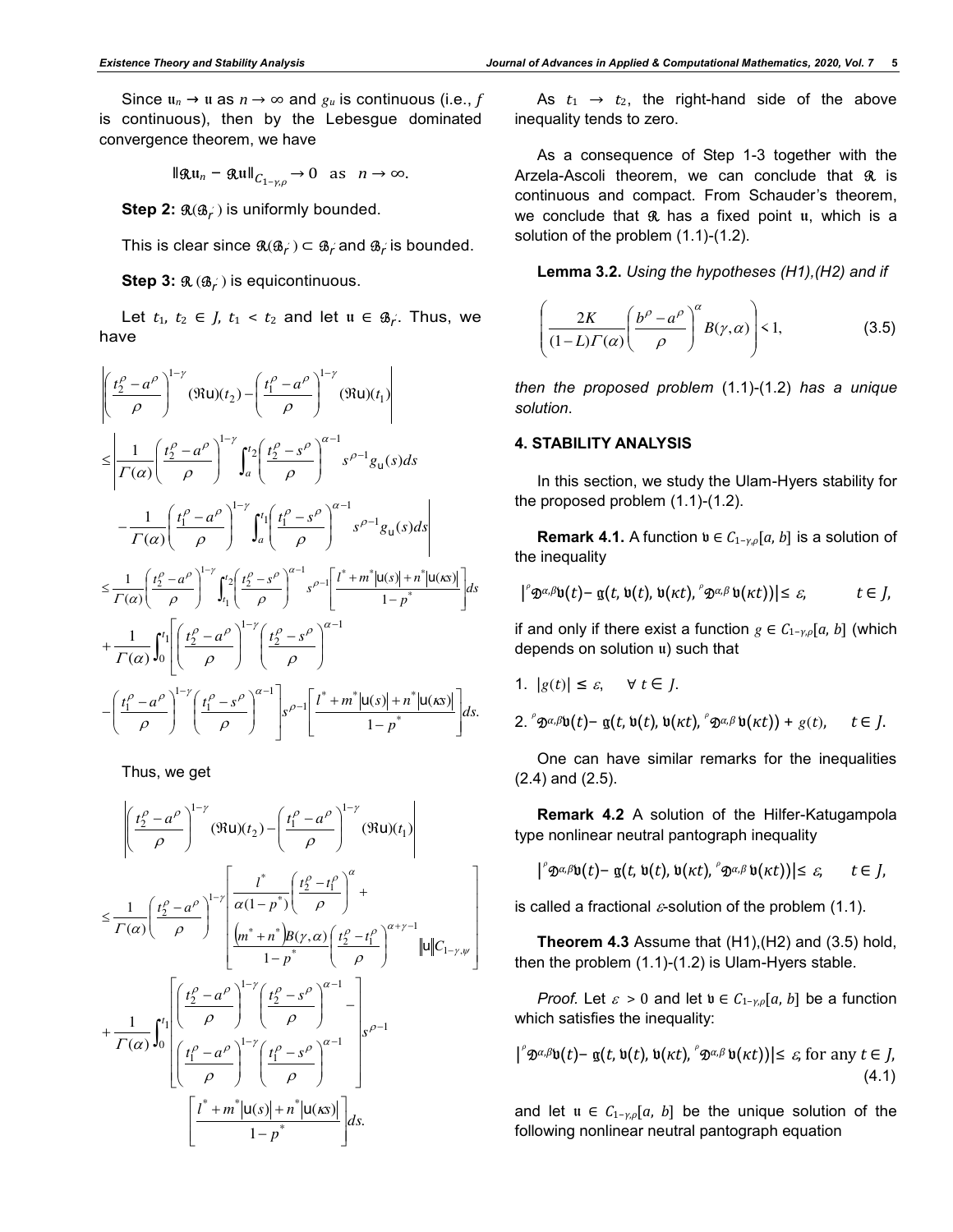Since  $u_n \to u$  as  $n \to \infty$  and  $g_u$  is continuous (i.e., f is continuous), then by the Lebesgue dominated convergence theorem, we have

$$
\|\mathfrak{Ru}_n - \mathfrak{Ru}\|_{C_{1-\gamma,\rho}} \to 0 \quad \text{as} \quad n \to \infty.
$$

 $\textbf{Step 2: } \mathfrak{R}(\mathfrak{B}_f)$  is uniformly bounded.

This is clear since  $\mathfrak{A}(\mathfrak{B}_f^{\vee})\subset \mathfrak{B}_f^{\vee}$  and  $\mathfrak{B}_f^{\vee}$  is bounded.

**Step 3:** R (B*<sup>r</sup>* ′ ) is equicontinuous.

Let  $t_1, t_2 \in J$ ,  $t_1 < t_2$  and let  $u \in \mathfrak{B}_r$ . Thus, we have

$$
\left| \left( \frac{t_2^{\rho} - a^{\rho}}{\rho} \right)^{1-\gamma} (\Re u)(t_2) - \left( \frac{t_1^{\rho} - a^{\rho}}{\rho} \right)^{1-\gamma} (\Re u)(t_1) \right| \right|
$$
\n
$$
\leq \left| \frac{1}{\Gamma(\alpha)} \left( \frac{t_2^{\rho} - a^{\rho}}{\rho} \right)^{1-\gamma} \int_a^t \left( \frac{t_2^{\rho} - s^{\rho}}{\rho} \right)^{\alpha-1} s^{\rho-1} g_u(s) ds - \frac{1}{\Gamma(\alpha)} \left( \frac{t_1^{\rho} - a^{\rho}}{\rho} \right)^{1-\gamma} \int_a^t \left( \frac{t_1^{\rho} - s^{\rho}}{\rho} \right)^{\alpha-1} s^{\rho-1} g_u(s) ds \right|
$$
\n
$$
\leq \frac{1}{\Gamma(\alpha)} \left( \frac{t_2^{\rho} - a^{\rho}}{\rho} \right)^{1-\gamma} \int_{t_1}^{t_2} \left( \frac{t_2^{\rho} - s^{\rho}}{\rho} \right)^{\alpha-1} s^{\rho-1} \left[ \frac{t^* + m^* |u(s)| + n^* |u(\kappa s)|}{1 - p^*} \right] ds + \frac{1}{\Gamma(\alpha)} \int_0^{t_1} \left[ \left( \frac{t_2^{\rho} - a^{\rho}}{\rho} \right)^{1-\gamma} \left( \frac{t_2^{\rho} - s^{\rho}}{\rho} \right)^{\alpha-1} \right] ds - \left( \frac{t_1^{\rho} - a^{\rho}}{\rho} \right)^{1-\gamma} \left( \frac{t_1^{\rho} - s^{\rho}}{\rho} \right)^{\alpha-1} \left[ \frac{t^* + m^* |u(s)| + n^* |u(\kappa s)|}{1 - p^*} \right] ds.
$$

Thus, we get

$$
\left| \left( \frac{t_2^{\rho} - a^{\rho}}{\rho} \right)^{1-\gamma} (\Re u)(t_2) - \left( \frac{t_1^{\rho} - a^{\rho}}{\rho} \right)^{1-\gamma} (\Re u)(t_1) \right|
$$
  
\n
$$
\leq \frac{1}{\Gamma(\alpha)} \left( \frac{t_2^{\rho} - a^{\rho}}{\rho} \right)^{1-\gamma} \left[ \frac{t^*}{\alpha(1 - p^*)} \left( \frac{t_2^{\rho} - t_1^{\rho}}{\rho} \right)^{\alpha} + \frac{t^*}{\alpha(1 - p^*)} \left( \frac{t_2^{\rho} - t_1^{\rho}}{\rho} \right)^{\alpha+\gamma-1} \right] |u||C_{1-\gamma,\psi}|
$$
  
\n
$$
+ \frac{1}{\Gamma(\alpha)} \int_0^{t_1} \left| \left( \frac{t_2^{\rho} - a^{\rho}}{\rho} \right)^{1-\gamma} \left( \frac{t_2^{\rho} - s^{\rho}}{\rho} \right)^{\alpha-1} - \left| \frac{t_2^{\rho} - s^{\rho}}{\rho} \right|^{1-\gamma} \left( \frac{t_2^{\rho} - s^{\rho}}{\rho} \right)^{\alpha-1} \right|
$$
  
\n
$$
\left[ \frac{t^* + m^* |u(s)| + n^* |u(xs)|}{1 - p^*} \right] ds.
$$

As  $t_1 \rightarrow t_2$ , the right-hand side of the above inequality tends to zero.

As a consequence of Step 1-3 together with the Arzela-Ascoli theorem, we can conclude that  $\Re$  is continuous and compact. From Schauder's theorem, we conclude that  $\Re$  has a fixed point  $\mathfrak u$ , which is a solution of the problem (1.1)-(1.2).

**Lemma 3.2.** *Using the hypotheses (H1),(H2) and if* 

$$
\left(\frac{2K}{(1-L)\Gamma(\alpha)}\left(\frac{b^{\rho}-a^{\rho}}{\rho}\right)^{\alpha}B(\gamma,\alpha)\right)<1,\tag{3.5}
$$

*then the proposed problem* (1.1)-(1.2) *has a unique solution*.

#### **4. STABILITY ANALYSIS**

In this section, we study the Ulam-Hyers stability for the proposed problem (1.1)-(1.2).

**Remark 4.1.** A function  $\mathfrak{v} \in C_{1-\gamma,\rho}[a,b]$  is a solution of the inequality

$$
| \varphi \otimes \varphi \otimes (t) - \mathfrak{g}(t, \mathfrak{v}(t), \mathfrak{v}(\kappa t), \varphi \otimes \varphi \mathfrak{v}(\kappa t)) | \leq \varepsilon, \qquad t \in J,
$$

if and only if there exist a function  $g \in C_{1-\gamma,\rho}[a, b]$  (which depends on solution u) such that

1.  $|g(t)| \leq \varepsilon$ ,  $\forall t \in I$ .

 $2 \int_{0}^{\infty} \mathfrak{D}^{\alpha,\beta} \mathfrak{v}(t) - \mathfrak{g}(t, \mathfrak{v}(t), \mathfrak{v}(\kappa t), \mathfrak{v}(\kappa t)) + g(t), \quad t \in J.$ 

One can have similar remarks for the inequalities (2.4) and (2.5).

**Remark 4.2** A solution of the Hilfer-Katugampola type nonlinear neutral pantograph inequality

 $|\int^{\infty} \mathfrak{D}^{\alpha,\beta} \mathfrak{v}(t) - \mathfrak{g}(t, \mathfrak{v}(t), \mathfrak{v}(\kappa t), \int^{\infty} \mathfrak{D}^{\alpha,\beta} \mathfrak{v}(\kappa t))| \leq \varepsilon, \quad t \in J,$ 

is called a fractional  $\varepsilon$ -solution of the problem (1.1).

**Theorem 4.3** Assume that (H1),(H2) and (3.5) hold, then the problem (1.1)-(1.2) is Ulam-Hyers stable.

*Proof.* Let  $\varepsilon > 0$  and let  $\mathfrak{v} \in C_{1-\gamma,\rho}[a, b]$  be a function which satisfies the inequality:

$$
|{}^{\rho}\mathfrak{D}^{\alpha,\beta}\mathfrak{v}(t) - \mathfrak{g}(t,\mathfrak{v}(t),\mathfrak{v}(\kappa t), {}^{\rho}\mathfrak{D}^{\alpha,\beta}\mathfrak{v}(\kappa t))| \leq \varepsilon, \text{ for any } t \in J,
$$
\n(4.1)

and let  $u \in C_{1-\gamma,\rho}[a, b]$  be the unique solution of the following nonlinear neutral pantograph equation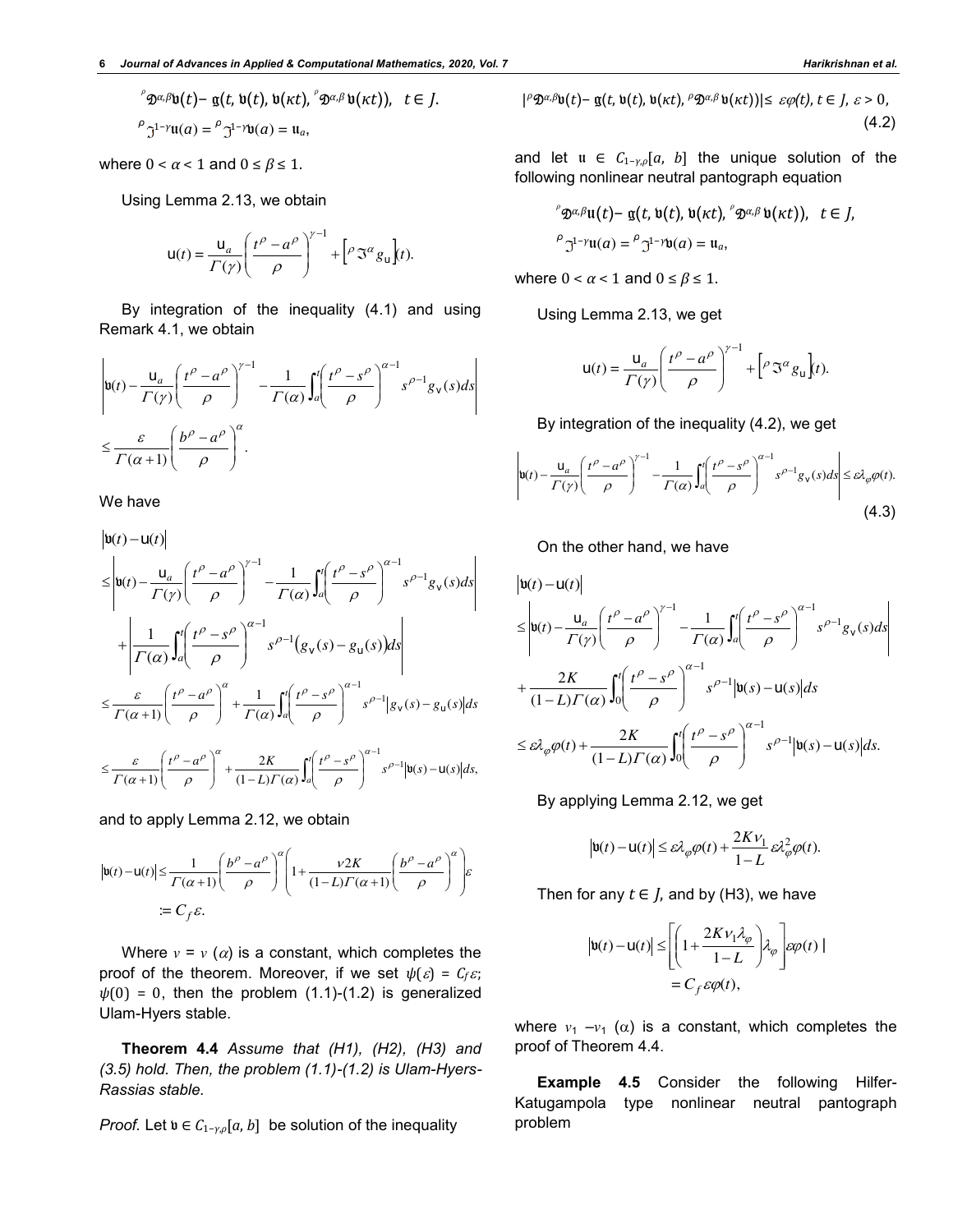$$
\int_{0}^{\infty} \mathfrak{D}^{\alpha,\beta} \mathfrak{v}(t) - \mathfrak{g}(t, \mathfrak{v}(t), \mathfrak{v}(\kappa t), \int_{0}^{\infty} \mathfrak{D}^{\alpha,\beta} \mathfrak{v}(\kappa t)), \quad t \in J.
$$
  

$$
\int_{0}^{\infty} \mathfrak{I}^{1-\gamma} \mathfrak{u}(a) = \int_{0}^{\infty} \mathfrak{I}^{1-\gamma} \mathfrak{v}(a) = \mathfrak{u}_{a},
$$

where  $0 < \alpha < 1$  and  $0 \le \beta \le 1$ .

Using Lemma 2.13, we obtain

$$
\mathsf{u}(t) = \frac{\mathsf{u}_a}{\Gamma(\gamma)} \left( \frac{t^{\rho} - a^{\rho}}{\rho} \right)^{\gamma - 1} + \left[ \rho \mathfrak{S}^{\alpha} g_{\mathsf{u}} \right] (t).
$$

By integration of the inequality (4.1) and using Remark 4.1, we obtain

$$
\left| \mathfrak{v}(t) - \frac{\mathfrak{u}_a}{\Gamma(\gamma)} \left( \frac{t^{\rho} - a^{\rho}}{\rho} \right)^{\gamma - 1} - \frac{1}{\Gamma(\alpha)} \int_a^t \left( \frac{t^{\rho} - s^{\rho}}{\rho} \right)^{\alpha - 1} s^{\rho - 1} g_{\nu}(s) ds \right|
$$
  

$$
\leq \frac{\varepsilon}{\Gamma(\alpha + 1)} \left( \frac{b^{\rho} - a^{\rho}}{\rho} \right)^{\alpha}.
$$

We have

$$
\begin{split}\n&\left|\mathbf{u}(t)-\mathbf{u}(t)\right| \\
&\leq \left|\mathbf{u}(t)-\frac{\mathbf{u}_a}{\Gamma(\gamma)}\left(\frac{t^\rho - a^\rho}{\rho}\right)^{\gamma-1} - \frac{1}{\Gamma(\alpha)}\int_a^t \left(\frac{t^\rho - s^\rho}{\rho}\right)^{\alpha-1} s^{\rho-1}g_\nu(s)ds\right| \\
&+ \left|\frac{1}{\Gamma(\alpha)}\int_a^t \left(\frac{t^\rho - s^\rho}{\rho}\right)^{\alpha-1} s^{\rho-1}\left(g_\nu(s) - g_\nu(s)\right)ds\right| \\
&\leq \frac{\varepsilon}{\Gamma(\alpha+1)} \left(\frac{t^\rho - a^\rho}{\rho}\right)^\alpha + \frac{1}{\Gamma(\alpha)}\int_a^t \left(\frac{t^\rho - s^\rho}{\rho}\right)^{\alpha-1} s^{\rho-1}\left|g_\nu(s) - g_\nu(s)\right|ds \\
&\leq \frac{\varepsilon}{\Gamma(\alpha+1)} \left(\frac{t^\rho - a^\rho}{\rho}\right)^\alpha + \frac{2K}{(1-L)\Gamma(\alpha)}\int_a^t \left(\frac{t^\rho - s^\rho}{\rho}\right)^{\alpha-1} s^{\rho-1}\left|\mathbf{u}(s) - \mathbf{u}(s)\right|ds,\n\end{split}
$$

and to apply Lemma 2.12, we obtain

$$
\left|\mathbf{u}(t)-\mathbf{u}(t)\right| \leq \frac{1}{\Gamma(\alpha+1)} \left(\frac{b^{\rho}-a^{\rho}}{\rho}\right)^{\alpha} \left(1+\frac{\nu 2K}{(1-L)\Gamma(\alpha+1)} \left(\frac{b^{\rho}-a^{\rho}}{\rho}\right)^{\alpha}\right) \varepsilon
$$
  
:=  $C_f \varepsilon$ .

Where  $v = v(\alpha)$  is a constant, which completes the proof of the theorem. Moreover, if we set  $\psi(\varepsilon) = C_f \varepsilon$ ;  $\psi(0) = 0$ , then the problem (1.1)-(1.2) is generalized Ulam-Hyers stable.

**Theorem 4.4** *Assume that (H1), (H2), (H3) and (3.5) hold. Then, the problem (1.1)-(1.2) is Ulam-Hyers-Rassias stable.* 

*Proof.* Let  $\mathfrak{v} \in C_{1-\gamma,\rho}[a,b]$  be solution of the inequality

$$
|{}^{\rho}\mathfrak{D}^{\alpha,\beta}\mathfrak{v}(t)-\mathfrak{g}(t,\mathfrak{v}(t),\mathfrak{v}(\kappa t),{}^{\rho}\mathfrak{D}^{\alpha,\beta}\mathfrak{v}(\kappa t))|\leq \varepsilon\varphi(t), t\in J, \varepsilon>0,
$$
\n(4.2)

and let  $u \in C_{1-\gamma,\rho}[a, b]$  the unique solution of the following nonlinear neutral pantograph equation

$$
\int_{0}^{\infty} \mathfrak{D}^{\alpha,\beta} \mathfrak{u}(t) - \mathfrak{g}(t, \mathfrak{v}(t), \mathfrak{v}(\kappa t), \int_{0}^{\infty} \mathfrak{D}^{\alpha,\beta} \mathfrak{v}(\kappa t)), \quad t \in J,
$$
  

$$
\int_{0}^{\infty} \mathfrak{I}^{1-\gamma} \mathfrak{u}(\alpha) = \int_{0}^{\infty} \mathfrak{I}^{1-\gamma} \mathfrak{v}(\alpha) = \mathfrak{u}_{\alpha},
$$

where  $0 < \alpha < 1$  and  $0 \le \beta \le 1$ .

Using Lemma 2.13, we get

$$
\mathbf{u}(t) = \frac{\mathbf{u}_a}{\Gamma(\gamma)} \left( \frac{t^{\rho} - a^{\rho}}{\rho} \right)^{\gamma - 1} + \left[ \rho \mathfrak{S}^{\alpha} g_{\mathbf{u}} \right] (t).
$$

By integration of the inequality (4.2), we get

$$
\left| \mathbf{u}(t) - \frac{\mathbf{u}_a}{\Gamma(\gamma)} \left( \frac{t^{\rho} - a^{\rho}}{\rho} \right)^{\gamma - 1} - \frac{1}{\Gamma(\alpha)} \int_a^t \left( \frac{t^{\rho} - s^{\rho}}{\rho} \right)^{\alpha - 1} s^{\rho - 1} g_\mathbf{v}(s) ds \right| \le \varepsilon \lambda_\varphi \varphi(t).
$$
\n(4.3)

On the other hand, we have

$$
\begin{split}\n&\left|\mathbf{u}(t)-\mathbf{u}(t)\right| \\
&\leq \left|\mathbf{u}(t)-\frac{\mathbf{u}_a}{\Gamma(\gamma)}\left(\frac{t^\rho - a^\rho}{\rho}\right)^{\gamma-1} - \frac{1}{\Gamma(\alpha)}\int_a^t \left(\frac{t^\rho - s^\rho}{\rho}\right)^{\alpha-1} s^{\rho-1} g_\nu(s) ds\right| \\
&+ \frac{2K}{(1-L)\Gamma(\alpha)} \int_0^t \left(\frac{t^\rho - s^\rho}{\rho}\right)^{\alpha-1} s^{\rho-1} |\mathbf{u}(s)-\mathbf{u}(s)| ds \\
&\leq \varepsilon \lambda_\varphi \varphi(t) + \frac{2K}{(1-L)\Gamma(\alpha)} \int_0^t \left(\frac{t^\rho - s^\rho}{\rho}\right)^{\alpha-1} s^{\rho-1} |\mathbf{u}(s)-\mathbf{u}(s)| ds.\n\end{split}
$$

By applying Lemma 2.12, we get

$$
\left|\mathbf{u}(t)-\mathbf{u}(t)\right| \leq \varepsilon \lambda_{\varphi}\varphi(t) + \frac{2K\nu_1}{1-L}\varepsilon \lambda_{\varphi}^2\varphi(t).
$$

Then for any  $t \in J$ , and by (H3), we have

$$
|\mathbf{b}(t) - \mathbf{u}(t)| \leq \left[ \left( 1 + \frac{2Kv_1\lambda_{\varphi}}{1 - L} \right) \lambda_{\varphi} \right] \varepsilon \varphi(t) |
$$
  
=  $C_f \varepsilon \varphi(t)$ ,

where  $v_1 - v_1$  ( $\alpha$ ) is a constant, which completes the proof of Theorem 4.4.

**Example 4.5** Consider the following Hilfer-Katugampola type nonlinear neutral pantograph problem